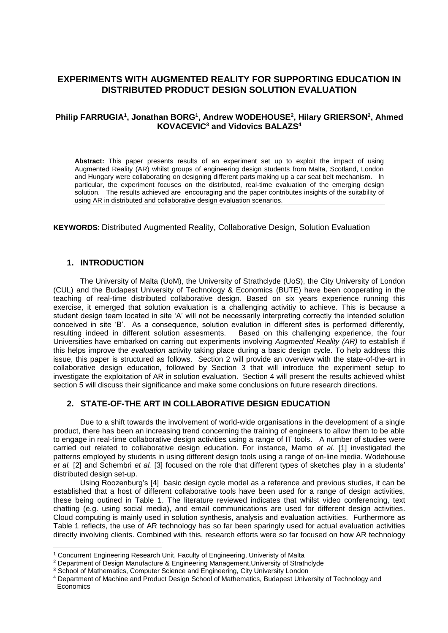# **EXPERIMENTS WITH AUGMENTED REALITY FOR SUPPORTING EDUCATION IN DISTRIBUTED PRODUCT DESIGN SOLUTION EVALUATION**

## **Philip FARRUGIA<sup>1</sup> , Jonathan BORG<sup>1</sup> , Andrew WODEHOUSE<sup>2</sup> , Hilary GRIERSON<sup>2</sup> , Ahmed KOVACEVIC<sup>3</sup> and Vidovics BALAZS<sup>4</sup>**

**Abstract:** This paper presents results of an experiment set up to exploit the impact of using Augmented Reality (AR) whilst groups of engineering design students from Malta, Scotland, London and Hungary were collaborating on designing different parts making up a car seat belt mechanism. In particular, the experiment focuses on the distributed, real-time evaluation of the emerging design solution. The results achieved are encouraging and the paper contributes insights of the suitability of using AR in distributed and collaborative design evaluation scenarios.

**KEYWORDS**: Distributed Augmented Reality, Collaborative Design, Solution Evaluation

### **1. INTRODUCTION**

 $\overline{a}$ 

The University of Malta (UoM), the University of Strathclyde (UoS), the City University of London (CUL) and the Budapest University of Technology & Economics (BUTE) have been cooperating in the teaching of real-time distributed collaborative design. Based on six years experience running this exercise, it emerged that solution evaluation is a challenging activitiy to achieve. This is because a student design team located in site 'A' will not be necessarily interpreting correctly the intended solution conceived in site 'B'. As a consequence, solution evalution in different sites is performed differently, resulting indeed in different solution assesments. Based on this challenging experience, the four Universities have embarked on carring out experiments involving *Augmented Reality (AR)* to establish if this helps improve the *evaluation* activity taking place during a basic design cycle. To help address this issue, this paper is structured as follows. Section 2 will provide an overview with the state-of-the-art in collaborative design education, followed by Section 3 that will introduce the experiment setup to investigate the exploitation of AR in solution evaluation. Section 4 will present the results achieved whilst section 5 will discuss their significance and make some conclusions on future research directions.

### **2. STATE-OF-THE ART IN COLLABORATIVE DESIGN EDUCATION**

Due to a shift towards the involvement of world-wide organisations in the development of a single product, there has been an increasing trend concerning the training of engineers to allow them to be able to engage in real-time collaborative design activities using a range of IT tools. A number of studies were carried out related to collaborative design education. For instance, Mamo *et al.* [1] investigated the patterns employed by students in using different design tools using a range of on-line media. Wodehouse *et al.* [2] and Schembri *et al.* [3] focused on the role that different types of sketches play in a students' distributed design set-up.

Using Roozenburg's [4] basic design cycle model as a reference and previous studies, it can be established that a host of different collaborative tools have been used for a range of design activities, these being outined in Table 1. The literature reviewed indicates that whilst video conferencing, text chatting (e.g. using social media), and email communications are used for different design activities. Cloud computing is mainly used in solution synthesis, analysis and evaluation activities. Furthermore as Table 1 reflects, the use of AR technology has so far been sparingly used for actual evaluation activities directly involving clients. Combined with this, research efforts were so far focused on how AR technology

<sup>&</sup>lt;sup>1</sup> Concurrent Engineering Research Unit, Faculty of Engineering, Univeristy of Malta

<sup>2</sup> Department of Design Manufacture & Engineering Management,University of Strathclyde

<sup>&</sup>lt;sup>3</sup> School of Mathematics, Computer Science and Engineering, City University London

<sup>4</sup> Department of Machine and Product Design School of Mathematics, Budapest University of Technology and Economics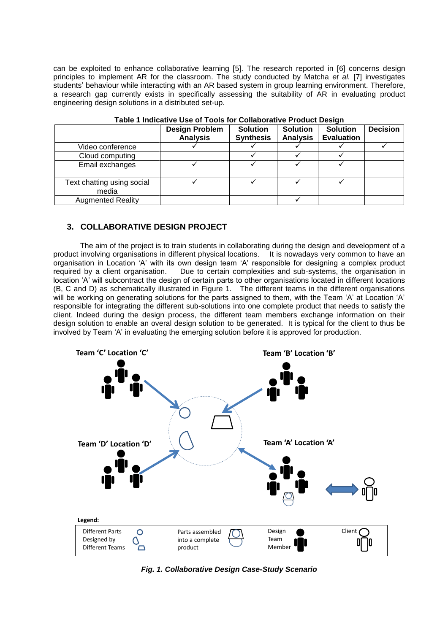can be exploited to enhance collaborative learning [5]. The research reported in [6] concerns design principles to implement AR for the classroom. The study conducted by Matcha *et al.* [7] investigates students' behaviour while interacting with an AR based system in group learning environment. Therefore, a research gap currently exists in specifically assessing the suitability of AR in evaluating product engineering design solutions in a distributed set-up.

|                                     | <b>Design Problem</b><br><b>Analysis</b> | <b>Solution</b><br><b>Synthesis</b> | <b>Solution</b><br><b>Analysis</b> | <b>Solution</b><br><b>Evaluation</b> | <b>Decision</b> |
|-------------------------------------|------------------------------------------|-------------------------------------|------------------------------------|--------------------------------------|-----------------|
| Video conference                    |                                          |                                     |                                    |                                      |                 |
| Cloud computing                     |                                          |                                     |                                    |                                      |                 |
| Email exchanges                     |                                          |                                     |                                    |                                      |                 |
| Text chatting using social<br>media |                                          |                                     |                                    |                                      |                 |
| <b>Augmented Reality</b>            |                                          |                                     |                                    |                                      |                 |

### **Table 1 Indicative Use of Tools for Collaborative Product Design**

## **3. COLLABORATIVE DESIGN PROJECT**

The aim of the project is to train students in collaborating during the design and development of a product involving organisations in different physical locations. It is nowadays very common to have an organisation in Location 'A' with its own design team 'A' responsible for designing a complex product required by a client organisation. Due to certain complexities and sub-systems, the organisation in location 'A' will subcontract the design of certain parts to other organisations located in different locations (B, C and D) as schematically illustrated in Figure 1. The different teams in the different organisations will be working on generating solutions for the parts assigned to them, with the Team 'A' at Location 'A' responsible for integrating the different sub-solutions into one complete product that needs to satisfy the client. Indeed during the design process, the different team members exchange information on their design solution to enable an overal design solution to be generated. It is typical for the client to thus be involved by Team 'A' in evaluating the emerging solution before it is approved for production.



*Fig. 1. Collaborative Design Case-Study Scenario*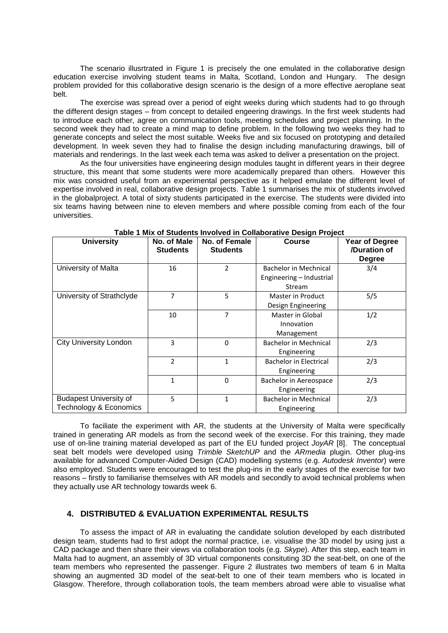The scenario illusrtrated in Figure 1 is precisely the one emulated in the collaborative design education exercise involving student teams in Malta, Scotland, London and Hungary. The design problem provided for this collaborative design scenario is the design of a more effective aeroplane seat belt.

The exercise was spread over a period of eight weeks during which students had to go through the different design stages – from concept to detailed engeering drawings. In the first week students had to introduce each other, agree on communication tools, meeting schedules and project planning. In the second week they had to create a mind map to define problem. In the following two weeks they had to generate concepts and select the most suitable. Weeks five and six focused on prototyping and detailed development. In week seven they had to finalise the design including manufacturing drawings, bill of materials and renderings. In the last week each tema was asked to deliver a presentation on the project.

As the four universities have engineering design modules taught in different years in their degree structure, this meant that some students were more academically prepared than others. However this mix was considred useful from an experimental perspective as it helped emulate the different level of expertise involved in real, collaborative design projects. Table 1 summarises the mix of students involved in the globalproject. A total of sixty students participated in the exercise. The students were divided into six teams having between nine to eleven members and where possible coming from each of the four universities.

| <b>University</b>                                       | No. of Male<br><b>Students</b> | No. of Female<br><b>Students</b> | <b>Course</b>                                                      | <b>Year of Degree</b><br>/Duration of<br><b>Degree</b> |  |
|---------------------------------------------------------|--------------------------------|----------------------------------|--------------------------------------------------------------------|--------------------------------------------------------|--|
| University of Malta                                     | 16                             | 2                                | <b>Bachelor in Mechnical</b><br>Engineering - Industrial<br>Stream | 3/4                                                    |  |
| University of Strathclyde                               | 7                              | 5                                | Master in Product<br>Design Engineering                            | 5/5                                                    |  |
|                                                         | 10                             | 7                                | Master in Global<br>Innovation<br>Management                       | 1/2                                                    |  |
| <b>City University London</b>                           | 3                              | 0                                | <b>Bachelor in Mechnical</b><br>Engineering                        | 2/3                                                    |  |
|                                                         | $\overline{2}$                 | 1                                | <b>Bachelor in Electrical</b><br>Engineering                       | 2/3                                                    |  |
|                                                         | 1                              | 0                                | Bachelor in Aereospace<br>Engineering                              | 2/3                                                    |  |
| <b>Budapest University of</b><br>Technology & Economics | 5                              | $\mathbf{1}$                     | <b>Bachelor in Mechnical</b><br>Engineering                        | 2/3                                                    |  |

**Table 1 Mix of Students Involved in Collaborative Design Project**

To faciliate the experiment with AR, the students at the University of Malta were specifically trained in generating AR models as from the second week of the exercise. For this training, they made use of on-line training material developed as part of the EU funded project *JoyAR* [8]. The conceptual seat belt models were developed using *Trimble SketchUP* and the *ARmedia* plugin. Other plug-ins available for advanced Computer-Aided Design (CAD) modelling systems (e.g. *Autodesk Inventor*) were also employed. Students were encouraged to test the plug-ins in the early stages of the exercise for two reasons – firstly to familiarise themselves with AR models and secondly to avoid technical problems when they actually use AR technology towards week 6.

## **4. DISTRIBUTED & EVALUATION EXPERIMENTAL RESULTS**

To assess the impact of AR in evaluating the candidate solution developed by each distributed design team, students had to first adopt the normal practice, i.e. visualise the 3D model by using just a CAD package and then share their views via collaboration tools (e.g. *Skype*). After this step, each team in Malta had to augment, an assembly of 3D virtual components consituting 3D the seat-belt, on one of the team members who represented the passenger. Figure 2 illustrates two members of team 6 in Malta showing an augmented 3D model of the seat-belt to one of their team members who is located in Glasgow. Therefore, through collaboration tools, the team members abroad were able to visualise what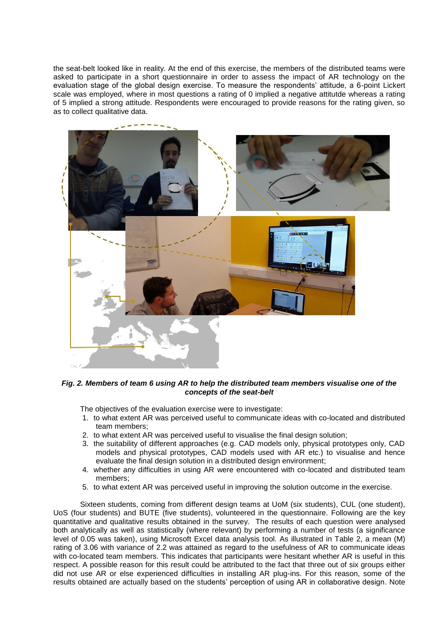the seat-belt looked like in reality. At the end of this exercise, the members of the distributed teams were asked to participate in a short questionnaire in order to assess the impact of AR technology on the evaluation stage of the global design exercise. To measure the respondents' attitude, a 6-point Lickert scale was employed, where in most questions a rating of 0 implied a negative attitutde whereas a rating of 5 implied a strong attitude. Respondents were encouraged to provide reasons for the rating given, so as to collect qualitative data.



*Fig. 2. Members of team 6 using AR to help the distributed team members visualise one of the concepts of the seat-belt*

The objectives of the evaluation exercise were to investigate:

- 1. to what extent AR was perceived useful to communicate ideas with co-located and distributed team members;
- 2. to what extent AR was perceived useful to visualise the final design solution;
- 3. the suitability of different approaches (e.g. CAD models only, physical prototypes only, CAD models and physical prototypes, CAD models used with AR etc.) to visualise and hence evaluate the final design solution in a distributed design environment;
- 4. whether any difficulties in using AR were encountered with co-located and distributed team members;
- 5. to what extent AR was perceived useful in improving the solution outcome in the exercise.

Sixteen students, coming from different design teams at UoM (six students), CUL (one student), UoS (four students) and BUTE (five students), volunteered in the questionnaire. Following are the key quantitative and qualitative results obtained in the survey. The results of each question were analysed both analytically as well as statistically (where relevant) by performing a number of tests (a significance level of 0.05 was taken), using Microsoft Excel data analysis tool. As illustrated in Table 2, a mean (M) rating of 3.06 with variance of 2.2 was attained as regard to the usefulness of AR to communicate ideas with co-located team members. This indicates that participants were hesitant whether AR is useful in this respect. A possible reason for this result could be attributed to the fact that three out of six groups either did not use AR or else experienced difficulties in installing AR plug-ins. For this reason, some of the results obtained are actually based on the students' perception of using AR in collaborative design. Note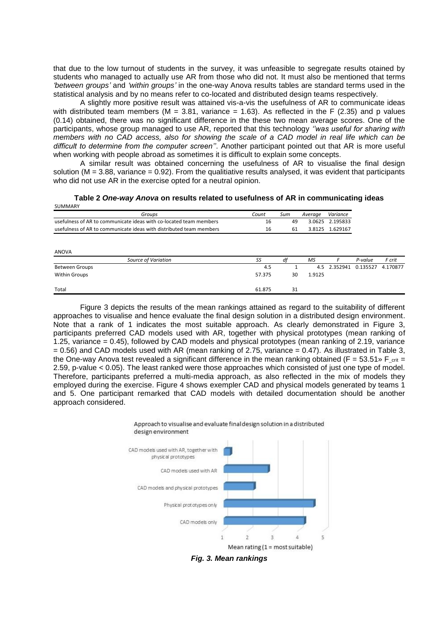that due to the low turnout of students in the survey, it was unfeasible to segregate results otained by students who managed to actually use AR from those who did not. It must also be mentioned that terms *'between groups'* and *'within groups'* in the one-way Anova results tables are standard terms used in the statistical analysis and by no means refer to co-located and distributed design teams respectively.

A slightly more positive result was attained vis-a-vis the usefulness of AR to communicate ideas with distributed team members (M = 3.81, variance = 1.63). As reflected in the F (2.35) and p values (0.14) obtained, there was no significant difference in the these two mean average scores. One of the participants, whose group managed to use AR, reported that this technology *''was useful for sharing with members with no CAD access, also for showing the scale of a CAD model in real life which can be difficult to determine from the computer screen''*. Another participant pointed out that AR is more useful when working with people abroad as sometimes it is difficult to explain some concepts.

A similar result was obtained concerning the usefulness of AR to visualise the final design solution ( $M = 3.88$ , variance = 0.92). From the qualitiative results analysed, it was evident that participants who did not use AR in the exercise opted for a neutral opinion.

**Table 2** *One-way Anova* **on results related to usefulness of AR in communicating ideas** CUMMAADV

| JUIVIIVIAI\I                                                        |        |           |         |                             |          |          |
|---------------------------------------------------------------------|--------|-----------|---------|-----------------------------|----------|----------|
| Groups                                                              | Count  | Sum<br>49 | Average | Variance<br>3.0625 2.195833 |          |          |
| usefulness of AR to communicate ideas with co-located team members  | 16     |           |         |                             |          |          |
| usefulness of AR to communicate ideas with distributed team members | 16     | 61        |         | 3.8125 1.629167             |          |          |
|                                                                     |        |           |         |                             |          |          |
| ANOVA                                                               |        |           |         |                             |          |          |
| Source of Variation                                                 | SS     | df        | МS      | F                           | P-value  | F crit   |
| <b>Between Groups</b>                                               | 4.5    |           | 4.5     | 2.352941                    | 0.135527 | 4.170877 |
| <b>Within Groups</b>                                                | 57.375 | 30        | 1.9125  |                             |          |          |
| Total                                                               | 61.875 | 31        |         |                             |          |          |

Figure 3 depicts the results of the mean rankings attained as regard to the suitability of different approaches to visualise and hence evaluate the final design solution in a distributed design environment. Note that a rank of 1 indicates the most suitable approach. As clearly demonstrated in Figure 3, participants preferred CAD models used with AR, together with physical prototypes (mean ranking of 1.25, variance = 0.45), followed by CAD models and physical prototypes (mean ranking of 2.19, variance  $= 0.56$ ) and CAD models used with AR (mean ranking of 2.75, variance  $= 0.47$ ). As illustrated in Table 3, the One-way Anova test revealed a significant difference in the mean ranking obtained (F = 53.51 » F  $_{\text{crit}}$  = 2.59, p-value < 0.05). The least ranked were those approaches which consisted of just one type of model. Therefore, participants preferred a multi-media approach, as also reflected in the mix of models they employed during the exercise. Figure 4 shows exempler CAD and physical models generated by teams 1 and 5. One participant remarked that CAD models with detailed documentation should be another approach considered.



*Fig. 3. Mean rankings*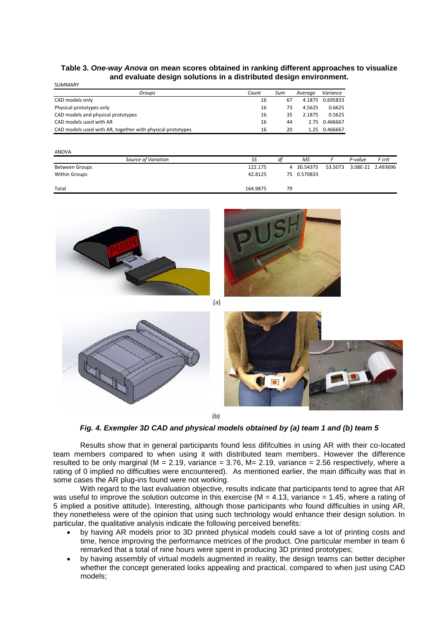#### **Table 3.** *One-way Anova* **on mean scores obtained in ranking different approaches to visualize and evaluate design solutions in a distributed design environment.**

SUMMARY

| <u>JUIVIIVII 11 1 1</u>                                    |       |     |         |          |
|------------------------------------------------------------|-------|-----|---------|----------|
| Groups                                                     | Count | Sum | Average | Variance |
| CAD models only                                            | 16    | 67  | 4.1875  | 0.695833 |
| Physical prototypes only                                   | 16    | 73  | 4.5625  | 0.6625   |
| CAD models and physical prototypes                         | 16    | 35  | 2.1875  | 0.5625   |
| CAD models used with AR                                    | 16    | 44  | 2.75    | 0.466667 |
| CAD models used with AR, together with physical prototypes | 16    | 20  | 1.25    | 0.466667 |
|                                                            |       |     |         |          |

| <b>ANOVA</b>         |          |    |            |         |         |                   |
|----------------------|----------|----|------------|---------|---------|-------------------|
| Source of Variation  | SS       | df | MS         |         | P-value | F crit            |
| Between Groups       | 122.175  |    | 4 30.54375 | 53.5073 |         | 3.08E-21 2.493696 |
| <b>Within Groups</b> | 42.8125  | 75 | 0.570833   |         |         |                   |
| Total                | 164.9875 | 79 |            |         |         |                   |



*Fig. 4. Exempler 3D CAD and physical models obtained by (a) team 1 and (b) team 5*

Results show that in general participants found less dififculties in using AR with their co-located team members compared to when using it with distributed team members. However the difference resulted to be only marginal ( $M = 2.19$ , variance  $= 3.76$ ,  $M = 2.19$ , variance  $= 2.56$  respectively, where a rating of 0 implied no difficulties were encountered). As mentioned earlier, the main difficulty was that in some cases the AR plug-ins found were not working.

With regard to the last evaluation objective, results indicate that participants tend to agree that AR was useful to improve the solution outcome in this exercise ( $M = 4.13$ , variance = 1.45, where a rating of 5 implied a positive attitude). Interesting, although those participants who found difficulties in using AR, they nonetheless were of the opinion that using such technology would enhance their design solution. In particular, the qualitative analysis indicate the following perceived benefits:

- by having AR models prior to 3D printed physical models could save a lot of printing costs and time, hence improving the performance metrices of the product. One particular member in team 6 remarked that a total of nine hours were spent in producing 3D printed prototypes;
- by having assembly of virtual models augmented in reality, the design teams can better decipher whether the concept generated looks appealing and practical, compared to when just using CAD models;